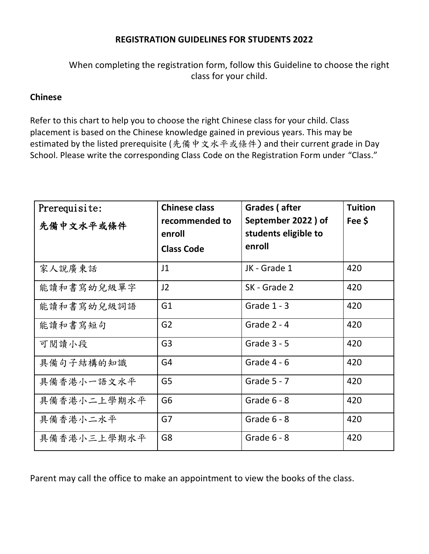## **REGISTRATION GUIDELINES FOR STUDENTS 2022**

When completing the registration form, follow this Guideline to choose the right class for your child.

## **Chinese**

Refer to this chart to help you to choose the right Chinese class for your child. Class placement is based on the Chinese knowledge gained in previous years. This may be estimated by the listed prerequisite (先備中文水平或條件) and their current grade in Day School. Please write the corresponding Class Code on the Registration Form under "Class."

| Prerequisite:<br>先備中文水平或條件 | <b>Chinese class</b><br>recommended to<br>enroll<br><b>Class Code</b> | Grades (after<br>September 2022) of<br>students eligible to<br>enroll | <b>Tuition</b><br>Fee \$ |
|----------------------------|-----------------------------------------------------------------------|-----------------------------------------------------------------------|--------------------------|
| 家人說廣東話                     | J <sub>1</sub>                                                        | JK - Grade 1                                                          | 420                      |
| 能讀和書寫幼兒級單字                 | J2                                                                    | SK - Grade 2                                                          | 420                      |
| 能讀和書寫幼兒級詞語                 | G <sub>1</sub>                                                        | Grade $1 - 3$                                                         | 420                      |
| 能讀和書寫短句                    | G <sub>2</sub>                                                        | Grade $2 - 4$                                                         | 420                      |
| 可閱讀小段                      | G <sub>3</sub>                                                        | Grade $3 - 5$                                                         | 420                      |
| 具備句子結構的知識                  | G <sub>4</sub>                                                        | Grade $4 - 6$                                                         | 420                      |
| 具備香港小一語文水平                 | G <sub>5</sub>                                                        | Grade $5 - 7$                                                         | 420                      |
| 具備香港小二上學期水平                | G <sub>6</sub>                                                        | Grade $6 - 8$                                                         | 420                      |
| 具備香港小二水平                   | G7                                                                    | Grade $6 - 8$                                                         | 420                      |
| 具備香港小三上學期水平                | G8                                                                    | Grade $6 - 8$                                                         | 420                      |

Parent may call the office to make an appointment to view the books of the class.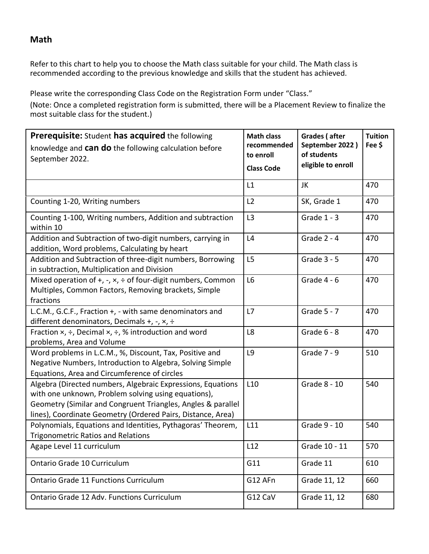**Math**

Refer to this chart to help you to choose the Math class suitable for your child. The Math class is recommended according to the previous knowledge and skills that the student has achieved.

Please write the corresponding Class Code on the Registration Form under "Class." (Note: Once a completed registration form is submitted, there will be a Placement Review to finalize the most suitable class for the student.)

| Prerequisite: Student has acquired the following<br>knowledge and can do the following calculation before<br>September 2022.                                                                                                                      | <b>Math class</b><br>recommended<br>to enroll<br><b>Class Code</b> | Grades (after<br>September 2022)<br>of students<br>eligible to enroll | <b>Tuition</b><br>Fee \$ |
|---------------------------------------------------------------------------------------------------------------------------------------------------------------------------------------------------------------------------------------------------|--------------------------------------------------------------------|-----------------------------------------------------------------------|--------------------------|
|                                                                                                                                                                                                                                                   | L1                                                                 | JK                                                                    | 470                      |
| Counting 1-20, Writing numbers                                                                                                                                                                                                                    | L2                                                                 | SK, Grade 1                                                           | 470                      |
| Counting 1-100, Writing numbers, Addition and subtraction<br>within 10                                                                                                                                                                            | L3                                                                 | Grade $1 - 3$                                                         | 470                      |
| Addition and Subtraction of two-digit numbers, carrying in<br>addition, Word problems, Calculating by heart                                                                                                                                       | L4                                                                 | Grade $2 - 4$                                                         | 470                      |
| Addition and Subtraction of three-digit numbers, Borrowing<br>in subtraction, Multiplication and Division                                                                                                                                         | L <sub>5</sub>                                                     | <b>Grade 3 - 5</b>                                                    | 470                      |
| Mixed operation of $+, -$ , $\times$ , $\div$ of four-digit numbers, Common<br>Multiples, Common Factors, Removing brackets, Simple<br>fractions                                                                                                  | L6                                                                 | Grade $4 - 6$                                                         | 470                      |
| L.C.M., G.C.F., Fraction +, - with same denominators and<br>different denominators, Decimals +, -, $\times$ , $\div$                                                                                                                              | L7                                                                 | Grade $5 - 7$                                                         | 470                      |
| Fraction $x$ , $\div$ , Decimal $x$ , $\div$ , % introduction and word<br>problems, Area and Volume                                                                                                                                               | L8                                                                 | Grade $6 - 8$                                                         | 470                      |
| Word problems in L.C.M., %, Discount, Tax, Positive and<br>Negative Numbers, Introduction to Algebra, Solving Simple<br>Equations, Area and Circumference of circles                                                                              | L9                                                                 | Grade 7 - 9                                                           | 510                      |
| Algebra (Directed numbers, Algebraic Expressions, Equations<br>with one unknown, Problem solving using equations),<br>Geometry (Similar and Congruent Triangles, Angles & parallel<br>lines), Coordinate Geometry (Ordered Pairs, Distance, Area) | L <sub>10</sub>                                                    | Grade 8 - 10                                                          | 540                      |
| Polynomials, Equations and Identities, Pythagoras' Theorem,<br><b>Trigonometric Ratios and Relations</b>                                                                                                                                          | L11                                                                | Grade 9 - 10                                                          | 540                      |
| Agape Level 11 curriculum                                                                                                                                                                                                                         | L12                                                                | Grade 10 - 11                                                         | 570                      |
| Ontario Grade 10 Curriculum                                                                                                                                                                                                                       | G11                                                                | Grade 11                                                              | 610                      |
| <b>Ontario Grade 11 Functions Curriculum</b>                                                                                                                                                                                                      | G12 AFn                                                            | Grade 11, 12                                                          | 660                      |
| Ontario Grade 12 Adv. Functions Curriculum                                                                                                                                                                                                        | G12 CaV                                                            | Grade 11, 12                                                          | 680                      |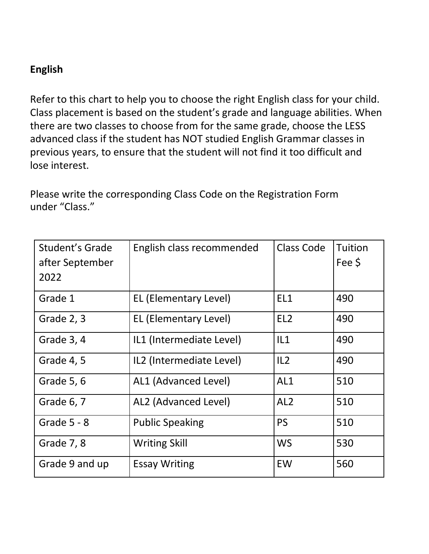## **English**

Refer to this chart to help you to choose the right English class for your child. Class placement is based on the student's grade and language abilities. When there are two classes to choose from for the same grade, choose the LESS advanced class if the student has NOT studied English Grammar classes in previous years, to ensure that the student will not find it too difficult and lose interest.

Please write the corresponding Class Code on the Registration Form under "Class."

| Student's Grade<br>after September | English class recommended | <b>Class Code</b> | Tuition<br>Fee \$ |
|------------------------------------|---------------------------|-------------------|-------------------|
| 2022                               |                           |                   |                   |
| Grade 1                            | EL (Elementary Level)     | EL1               | 490               |
| Grade 2, 3                         | EL (Elementary Level)     | EL <sub>2</sub>   | 490               |
| Grade 3, 4                         | IL1 (Intermediate Level)  | IL1               | 490               |
| Grade 4, 5                         | IL2 (Intermediate Level)  | IL2               | 490               |
| Grade 5, 6                         | AL1 (Advanced Level)      | AL1               | 510               |
| Grade 6, 7                         | AL2 (Advanced Level)      | AL <sub>2</sub>   | 510               |
| Grade $5 - 8$                      | <b>Public Speaking</b>    | <b>PS</b>         | 510               |
| Grade 7, 8                         | <b>Writing Skill</b>      | <b>WS</b>         | 530               |
| Grade 9 and up                     | <b>Essay Writing</b>      | EW                | 560               |